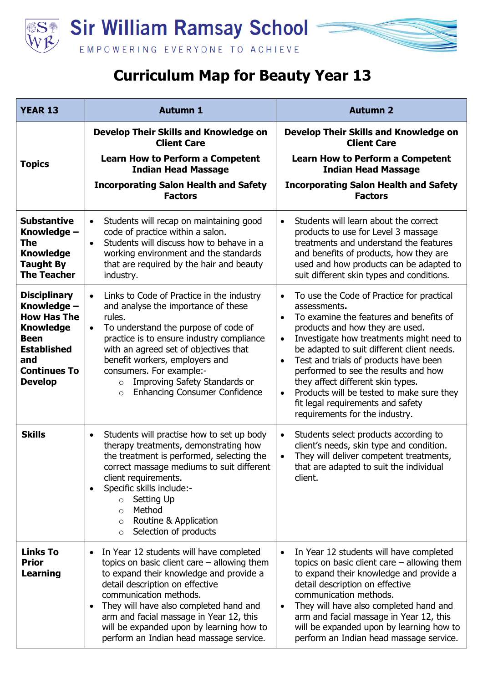



| <b>YEAR 13</b>                                                                                                                                                    | <b>Autumn 1</b>                                                                                                                                                                                                                                                                                                                                                                                                 | <b>Autumn 2</b>                                                                                                                                                                                                                                                                                                                                                                                                                                                                                                                              |
|-------------------------------------------------------------------------------------------------------------------------------------------------------------------|-----------------------------------------------------------------------------------------------------------------------------------------------------------------------------------------------------------------------------------------------------------------------------------------------------------------------------------------------------------------------------------------------------------------|----------------------------------------------------------------------------------------------------------------------------------------------------------------------------------------------------------------------------------------------------------------------------------------------------------------------------------------------------------------------------------------------------------------------------------------------------------------------------------------------------------------------------------------------|
|                                                                                                                                                                   | Develop Their Skills and Knowledge on<br><b>Client Care</b>                                                                                                                                                                                                                                                                                                                                                     | Develop Their Skills and Knowledge on<br><b>Client Care</b>                                                                                                                                                                                                                                                                                                                                                                                                                                                                                  |
| <b>Topics</b>                                                                                                                                                     | Learn How to Perform a Competent<br><b>Indian Head Massage</b>                                                                                                                                                                                                                                                                                                                                                  | <b>Learn How to Perform a Competent</b><br><b>Indian Head Massage</b>                                                                                                                                                                                                                                                                                                                                                                                                                                                                        |
|                                                                                                                                                                   | <b>Incorporating Salon Health and Safety</b><br><b>Factors</b>                                                                                                                                                                                                                                                                                                                                                  | <b>Incorporating Salon Health and Safety</b><br><b>Factors</b>                                                                                                                                                                                                                                                                                                                                                                                                                                                                               |
| <b>Substantive</b><br>Knowledge -<br><b>The</b><br><b>Knowledge</b><br><b>Taught By</b><br><b>The Teacher</b>                                                     | Students will recap on maintaining good<br>$\bullet$<br>code of practice within a salon.<br>Students will discuss how to behave in a<br>$\bullet$<br>working environment and the standards<br>that are required by the hair and beauty<br>industry.                                                                                                                                                             | Students will learn about the correct<br>$\bullet$<br>products to use for Level 3 massage<br>treatments and understand the features<br>and benefits of products, how they are<br>used and how products can be adapted to<br>suit different skin types and conditions.                                                                                                                                                                                                                                                                        |
| <b>Disciplinary</b><br>Knowledge -<br><b>How Has The</b><br><b>Knowledge</b><br><b>Been</b><br><b>Established</b><br>and<br><b>Continues To</b><br><b>Develop</b> | Links to Code of Practice in the industry<br>$\bullet$<br>and analyse the importance of these<br>rules.<br>To understand the purpose of code of<br>$\bullet$<br>practice is to ensure industry compliance<br>with an agreed set of objectives that<br>benefit workers, employers and<br>consumers. For example:-<br>Improving Safety Standards or<br>$\circ$<br><b>Enhancing Consumer Confidence</b><br>$\circ$ | To use the Code of Practice for practical<br>$\bullet$<br>assessments.<br>To examine the features and benefits of<br>$\bullet$<br>products and how they are used.<br>Investigate how treatments might need to<br>$\bullet$<br>be adapted to suit different client needs.<br>Test and trials of products have been<br>$\bullet$<br>performed to see the results and how<br>they affect different skin types.<br>Products will be tested to make sure they<br>$\bullet$<br>fit legal requirements and safety<br>requirements for the industry. |
| <b>Skills</b>                                                                                                                                                     | Students will practise how to set up body<br>$\bullet$<br>therapy treatments, demonstrating how<br>the treatment is performed, selecting the<br>correct massage mediums to suit different<br>client requirements.<br>Specific skills include:-<br>$\bullet$<br>Setting Up<br>$\circ$<br>Method<br>$\Omega$<br>Routine & Application<br>$\circ$<br>Selection of products<br>$\circ$                              | Students select products according to<br>$\bullet$<br>client's needs, skin type and condition.<br>They will deliver competent treatments,<br>$\bullet$<br>that are adapted to suit the individual<br>client.                                                                                                                                                                                                                                                                                                                                 |
| <b>Links To</b><br><b>Prior</b><br><b>Learning</b>                                                                                                                | In Year 12 students will have completed<br>$\bullet$<br>topics on basic client care $-$ allowing them<br>to expand their knowledge and provide a<br>detail description on effective<br>communication methods.<br>They will have also completed hand and<br>$\bullet$<br>arm and facial massage in Year 12, this<br>will be expanded upon by learning how to<br>perform an Indian head massage service.          | In Year 12 students will have completed<br>$\bullet$<br>topics on basic client care $-$ allowing them<br>to expand their knowledge and provide a<br>detail description on effective<br>communication methods.<br>They will have also completed hand and<br>$\bullet$<br>arm and facial massage in Year 12, this<br>will be expanded upon by learning how to<br>perform an Indian head massage service.                                                                                                                                       |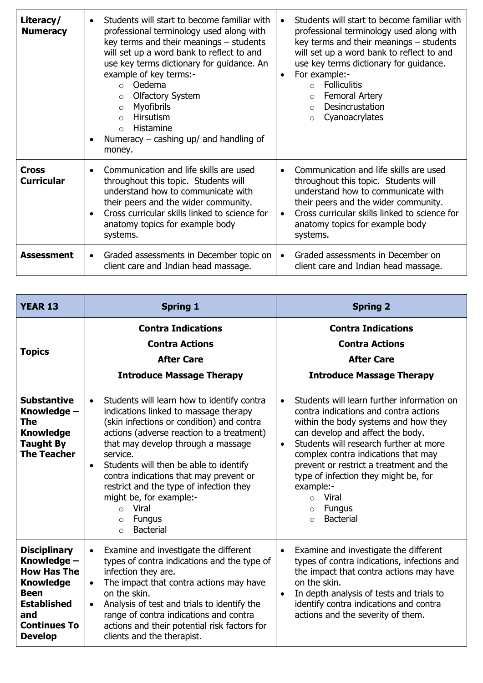| Literacy/<br><b>Numeracy</b>      | Students will start to become familiar with<br>$\bullet$<br>professional terminology used along with<br>key terms and their meanings - students<br>will set up a word bank to reflect to and<br>use key terms dictionary for guidance. An<br>example of key terms:-<br>Oedema<br>$\circ$<br><b>Olfactory System</b><br>$\circ$<br><b>Myofibrils</b><br>$\circ$<br><b>Hirsutism</b><br>$\Omega$<br>Histamine<br>$\Omega$<br>Numeracy $-$ cashing up/ and handling of<br>$\bullet$<br>money. | Students will start to become familiar with<br>$\bullet$<br>professional terminology used along with<br>key terms and their meanings - students<br>will set up a word bank to reflect to and<br>use key terms dictionary for guidance.<br>For example:-<br>$\bullet$<br><b>Folliculitis</b><br>$\Omega$<br>Femoral Artery<br>$\circ$<br>Desincrustation<br>$\Omega$<br>Cyanoacrylates<br>$\Omega$ |
|-----------------------------------|--------------------------------------------------------------------------------------------------------------------------------------------------------------------------------------------------------------------------------------------------------------------------------------------------------------------------------------------------------------------------------------------------------------------------------------------------------------------------------------------|---------------------------------------------------------------------------------------------------------------------------------------------------------------------------------------------------------------------------------------------------------------------------------------------------------------------------------------------------------------------------------------------------|
| <b>Cross</b><br><b>Curricular</b> | Communication and life skills are used<br>$\bullet$<br>throughout this topic. Students will<br>understand how to communicate with<br>their peers and the wider community.<br>Cross curricular skills linked to science for<br>$\bullet$<br>anatomy topics for example body<br>systems.                                                                                                                                                                                                     | Communication and life skills are used<br>$\bullet$<br>throughout this topic. Students will<br>understand how to communicate with<br>their peers and the wider community.<br>Cross curricular skills linked to science for<br>$\bullet$<br>anatomy topics for example body<br>systems.                                                                                                            |
| <b>Assessment</b>                 | Graded assessments in December topic on<br>$\bullet$<br>client care and Indian head massage.                                                                                                                                                                                                                                                                                                                                                                                               | Graded assessments in December on<br>client care and Indian head massage.                                                                                                                                                                                                                                                                                                                         |

| <b>YEAR 13</b>                                                                                                                                                    | <b>Spring 1</b>                                                                                                                                                                                                                                                                                                                                                                                                                                                                                        | <b>Spring 2</b>                                                                                                                                                                                                                                                                                                                                                                                                                                  |
|-------------------------------------------------------------------------------------------------------------------------------------------------------------------|--------------------------------------------------------------------------------------------------------------------------------------------------------------------------------------------------------------------------------------------------------------------------------------------------------------------------------------------------------------------------------------------------------------------------------------------------------------------------------------------------------|--------------------------------------------------------------------------------------------------------------------------------------------------------------------------------------------------------------------------------------------------------------------------------------------------------------------------------------------------------------------------------------------------------------------------------------------------|
| <b>Topics</b>                                                                                                                                                     | <b>Contra Indications</b><br><b>Contra Actions</b><br><b>After Care</b><br><b>Introduce Massage Therapy</b>                                                                                                                                                                                                                                                                                                                                                                                            | <b>Contra Indications</b><br><b>Contra Actions</b><br><b>After Care</b><br><b>Introduce Massage Therapy</b>                                                                                                                                                                                                                                                                                                                                      |
| <b>Substantive</b><br>Knowledge -<br>The<br><b>Knowledge</b><br><b>Taught By</b><br><b>The Teacher</b>                                                            | Students will learn how to identify contra<br>$\bullet$<br>indications linked to massage therapy<br>(skin infections or condition) and contra<br>actions (adverse reaction to a treatment)<br>that may develop through a massage<br>service.<br>Students will then be able to identify<br>$\bullet$<br>contra indications that may prevent or<br>restrict and the type of infection they<br>might be, for example:-<br>Viral<br>$\Omega$<br><b>Fungus</b><br>$\circ$<br><b>Bacterial</b><br>$\bigcirc$ | Students will learn further information on<br>$\bullet$<br>contra indications and contra actions<br>within the body systems and how they<br>can develop and affect the body.<br>Students will research further at more<br>$\bullet$<br>complex contra indications that may<br>prevent or restrict a treatment and the<br>type of infection they might be, for<br>example:-<br>o Viral<br><b>Fungus</b><br>$\circ$<br><b>Bacterial</b><br>$\circ$ |
| <b>Disciplinary</b><br>Knowledge -<br><b>How Has The</b><br><b>Knowledge</b><br><b>Been</b><br><b>Established</b><br>and<br><b>Continues To</b><br><b>Develop</b> | Examine and investigate the different<br>$\bullet$<br>types of contra indications and the type of<br>infection they are.<br>The impact that contra actions may have<br>$\bullet$<br>on the skin.<br>Analysis of test and trials to identify the<br>$\bullet$<br>range of contra indications and contra<br>actions and their potential risk factors for<br>clients and the therapist.                                                                                                                   | Examine and investigate the different<br>$\bullet$<br>types of contra indications, infections and<br>the impact that contra actions may have<br>on the skin.<br>In depth analysis of tests and trials to<br>$\bullet$<br>identify contra indications and contra<br>actions and the severity of them.                                                                                                                                             |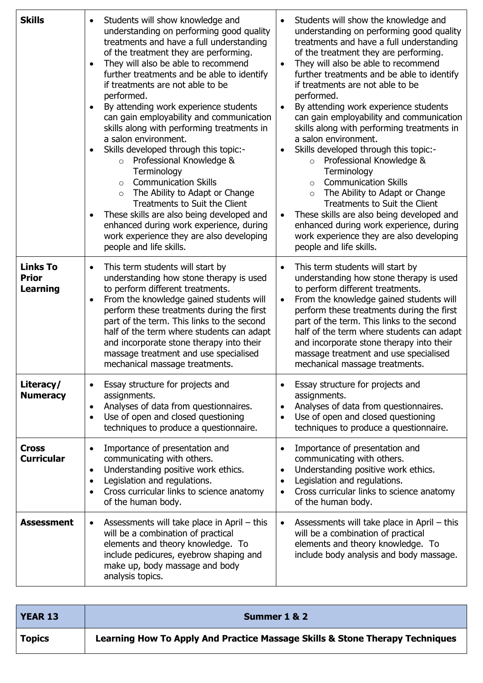| <b>Skills</b>                                      | Students will show knowledge and<br>$\bullet$<br>understanding on performing good quality<br>treatments and have a full understanding<br>of the treatment they are performing.<br>They will also be able to recommend<br>$\bullet$<br>further treatments and be able to identify<br>if treatments are not able to be<br>performed.<br>By attending work experience students<br>$\bullet$<br>can gain employability and communication<br>skills along with performing treatments in<br>a salon environment.<br>Skills developed through this topic:-<br>$\bullet$<br>o Professional Knowledge &<br>Terminology<br><b>Communication Skills</b><br>$\circ$<br>The Ability to Adapt or Change<br>$\circ$<br>Treatments to Suit the Client<br>These skills are also being developed and<br>$\bullet$<br>enhanced during work experience, during<br>work experience they are also developing<br>people and life skills. | Students will show the knowledge and<br>understanding on performing good quality<br>treatments and have a full understanding<br>of the treatment they are performing.<br>They will also be able to recommend<br>٠<br>further treatments and be able to identify<br>if treatments are not able to be<br>performed.<br>By attending work experience students<br>$\bullet$<br>can gain employability and communication<br>skills along with performing treatments in<br>a salon environment.<br>Skills developed through this topic:-<br>٠<br>Professional Knowledge &<br>$\circ$<br>Terminology<br><b>Communication Skills</b><br>$\circ$<br>The Ability to Adapt or Change<br>$\circ$<br>Treatments to Suit the Client<br>These skills are also being developed and<br>enhanced during work experience, during<br>work experience they are also developing<br>people and life skills. |
|----------------------------------------------------|-------------------------------------------------------------------------------------------------------------------------------------------------------------------------------------------------------------------------------------------------------------------------------------------------------------------------------------------------------------------------------------------------------------------------------------------------------------------------------------------------------------------------------------------------------------------------------------------------------------------------------------------------------------------------------------------------------------------------------------------------------------------------------------------------------------------------------------------------------------------------------------------------------------------|--------------------------------------------------------------------------------------------------------------------------------------------------------------------------------------------------------------------------------------------------------------------------------------------------------------------------------------------------------------------------------------------------------------------------------------------------------------------------------------------------------------------------------------------------------------------------------------------------------------------------------------------------------------------------------------------------------------------------------------------------------------------------------------------------------------------------------------------------------------------------------------|
| <b>Links To</b><br><b>Prior</b><br><b>Learning</b> | This term students will start by<br>$\bullet$<br>understanding how stone therapy is used<br>to perform different treatments.<br>From the knowledge gained students will<br>$\bullet$<br>perform these treatments during the first<br>part of the term. This links to the second<br>half of the term where students can adapt<br>and incorporate stone therapy into their<br>massage treatment and use specialised<br>mechanical massage treatments.                                                                                                                                                                                                                                                                                                                                                                                                                                                               | This term students will start by<br>$\bullet$<br>understanding how stone therapy is used<br>to perform different treatments.<br>From the knowledge gained students will<br>$\bullet$<br>perform these treatments during the first<br>part of the term. This links to the second<br>half of the term where students can adapt<br>and incorporate stone therapy into their<br>massage treatment and use specialised<br>mechanical massage treatments.                                                                                                                                                                                                                                                                                                                                                                                                                                  |
| Literacy/<br><b>Numeracy</b>                       | Essay structure for projects and<br>$\bullet$<br>assignments.<br>Analyses of data from questionnaires.<br>$\bullet$<br>Use of open and closed questioning<br>$\bullet$<br>techniques to produce a questionnaire.                                                                                                                                                                                                                                                                                                                                                                                                                                                                                                                                                                                                                                                                                                  | Essay structure for projects and<br>assignments.<br>Analyses of data from questionnaires.<br>$\bullet$<br>Use of open and closed questioning<br>$\bullet$<br>techniques to produce a questionnaire.                                                                                                                                                                                                                                                                                                                                                                                                                                                                                                                                                                                                                                                                                  |
| <b>Cross</b><br><b>Curricular</b>                  | Importance of presentation and<br>$\bullet$<br>communicating with others.<br>Understanding positive work ethics.<br>$\bullet$<br>Legislation and regulations.<br>$\bullet$<br>Cross curricular links to science anatomy<br>$\bullet$<br>of the human body.                                                                                                                                                                                                                                                                                                                                                                                                                                                                                                                                                                                                                                                        | Importance of presentation and<br>$\bullet$<br>communicating with others.<br>Understanding positive work ethics.<br>$\bullet$<br>Legislation and regulations.<br>٠<br>Cross curricular links to science anatomy<br>$\bullet$<br>of the human body.                                                                                                                                                                                                                                                                                                                                                                                                                                                                                                                                                                                                                                   |
| <b>Assessment</b>                                  | Assessments will take place in April – this<br>$\bullet$<br>will be a combination of practical<br>elements and theory knowledge. To<br>include pedicures, eyebrow shaping and<br>make up, body massage and body<br>analysis topics.                                                                                                                                                                                                                                                                                                                                                                                                                                                                                                                                                                                                                                                                               | Assessments will take place in April - this<br>$\bullet$<br>will be a combination of practical<br>elements and theory knowledge. To<br>include body analysis and body massage.                                                                                                                                                                                                                                                                                                                                                                                                                                                                                                                                                                                                                                                                                                       |

| <b>YEAR 13</b> | Summer 1 & 2                                                                 |
|----------------|------------------------------------------------------------------------------|
| <b>Topics</b>  | Learning How To Apply And Practice Massage Skills & Stone Therapy Techniques |